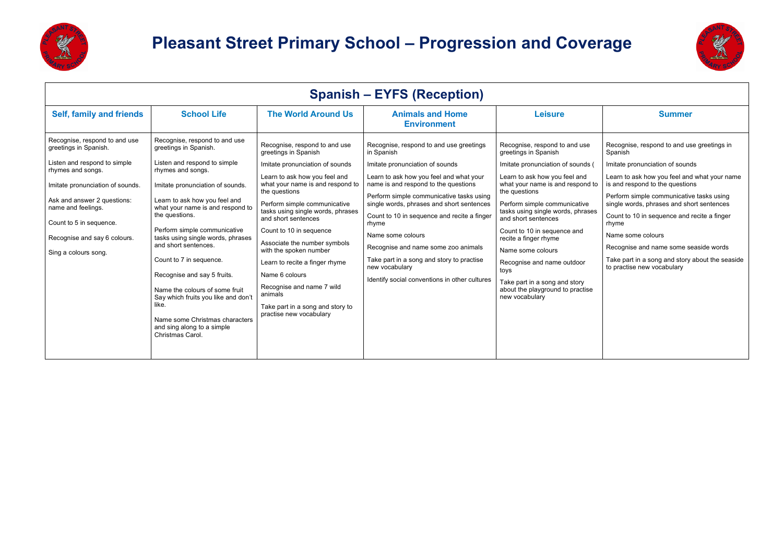



|                                                                                                                                                                                                                                                                                         |                                                                                                                                                                                                                                                                                                                                                                                                                                                                                                                                                                     |                                                                                                                                                                                                                                                                                                                                                                                                                                                                                                                            | <b>Spanish – EYFS (Reception)</b>                                                                                                                                                                                                                                                                                                                                                                                                                                                                        |                                                                                                                                                                                                                                                                                                                                                                                                                                                                                        |                                                                                                                                                                                                                                                                                                                                                                                                                                                                             |
|-----------------------------------------------------------------------------------------------------------------------------------------------------------------------------------------------------------------------------------------------------------------------------------------|---------------------------------------------------------------------------------------------------------------------------------------------------------------------------------------------------------------------------------------------------------------------------------------------------------------------------------------------------------------------------------------------------------------------------------------------------------------------------------------------------------------------------------------------------------------------|----------------------------------------------------------------------------------------------------------------------------------------------------------------------------------------------------------------------------------------------------------------------------------------------------------------------------------------------------------------------------------------------------------------------------------------------------------------------------------------------------------------------------|----------------------------------------------------------------------------------------------------------------------------------------------------------------------------------------------------------------------------------------------------------------------------------------------------------------------------------------------------------------------------------------------------------------------------------------------------------------------------------------------------------|----------------------------------------------------------------------------------------------------------------------------------------------------------------------------------------------------------------------------------------------------------------------------------------------------------------------------------------------------------------------------------------------------------------------------------------------------------------------------------------|-----------------------------------------------------------------------------------------------------------------------------------------------------------------------------------------------------------------------------------------------------------------------------------------------------------------------------------------------------------------------------------------------------------------------------------------------------------------------------|
| Self, family and friends                                                                                                                                                                                                                                                                | <b>School Life</b>                                                                                                                                                                                                                                                                                                                                                                                                                                                                                                                                                  | <b>The World Around Us</b>                                                                                                                                                                                                                                                                                                                                                                                                                                                                                                 | <b>Animals and Home</b><br><b>Environment</b>                                                                                                                                                                                                                                                                                                                                                                                                                                                            | <b>Leisure</b>                                                                                                                                                                                                                                                                                                                                                                                                                                                                         | <b>Summer</b>                                                                                                                                                                                                                                                                                                                                                                                                                                                               |
| Recognise, respond to and use<br>greetings in Spanish.<br>Listen and respond to simple<br>rhymes and songs.<br>Imitate pronunciation of sounds.<br>Ask and answer 2 questions:<br>name and feelings.<br>Count to 5 in sequence.<br>Recognise and say 6 colours.<br>Sing a colours song. | Recognise, respond to and use<br>greetings in Spanish.<br>Listen and respond to simple<br>rhymes and songs.<br>Imitate pronunciation of sounds.<br>Learn to ask how you feel and<br>what your name is and respond to<br>the questions.<br>Perform simple communicative<br>tasks using single words, phrases<br>and short sentences.<br>Count to 7 in sequence.<br>Recognise and say 5 fruits.<br>Name the colours of some fruit<br>Say which fruits you like and don't<br>like.<br>Name some Christmas characters<br>and sing along to a simple<br>Christmas Carol. | Recognise, respond to and use<br>greetings in Spanish<br>Imitate pronunciation of sounds<br>Learn to ask how you feel and<br>what your name is and respond to<br>the questions<br>Perform simple communicative<br>tasks using single words, phrases<br>and short sentences<br>Count to 10 in sequence<br>Associate the number symbols<br>with the spoken number<br>Learn to recite a finger rhyme<br>Name 6 colours<br>Recognise and name 7 wild<br>animals<br>Take part in a song and story to<br>practise new vocabulary | Recognise, respond to and use greetings<br>in Spanish<br>Imitate pronunciation of sounds<br>Learn to ask how you feel and what your<br>name is and respond to the questions<br>Perform simple communicative tasks using<br>single words, phrases and short sentences<br>Count to 10 in sequence and recite a finger<br>rhyme<br>Name some colours<br>Recognise and name some zoo animals<br>Take part in a song and story to practise<br>new vocabulary<br>Identify social conventions in other cultures | Recognise, respond to and use<br>greetings in Spanish<br>Imitate pronunciation of sounds (<br>Learn to ask how you feel and<br>what your name is and respond to<br>the questions<br>Perform simple communicative<br>tasks using single words, phrases<br>and short sentences<br>Count to 10 in sequence and<br>recite a finger rhyme<br>Name some colours<br>Recognise and name outdoor<br>toys<br>Take part in a song and story<br>about the playground to practise<br>new vocabulary | Recognise, respond to and use greetings in<br>Spanish<br>Imitate pronunciation of sounds<br>Learn to ask how you feel and what your name<br>is and respond to the questions<br>Perform simple communicative tasks using<br>single words, phrases and short sentences<br>Count to 10 in sequence and recite a finger<br>rhyme<br>Name some colours<br>Recognise and name some seaside words<br>Take part in a song and story about the seaside<br>to practise new vocabulary |
|                                                                                                                                                                                                                                                                                         |                                                                                                                                                                                                                                                                                                                                                                                                                                                                                                                                                                     |                                                                                                                                                                                                                                                                                                                                                                                                                                                                                                                            |                                                                                                                                                                                                                                                                                                                                                                                                                                                                                                          |                                                                                                                                                                                                                                                                                                                                                                                                                                                                                        |                                                                                                                                                                                                                                                                                                                                                                                                                                                                             |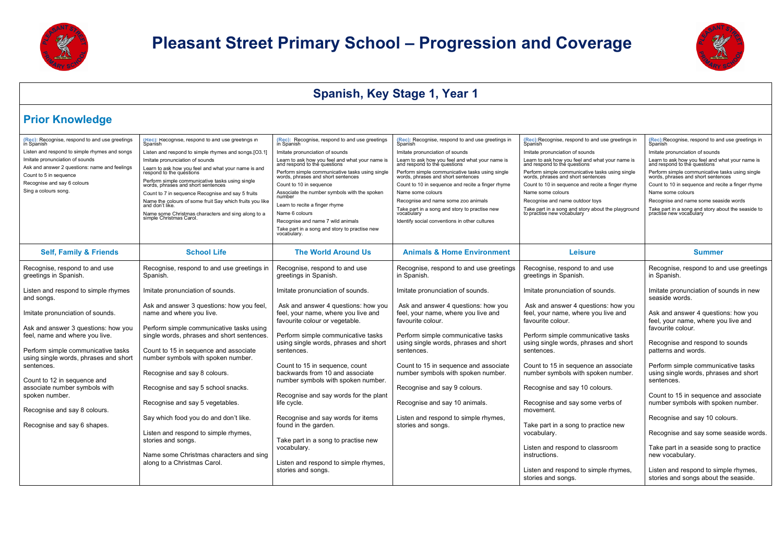



## **Spanish, Key Stage 1, Year 1**

| (Rec): Recognise, respond to and use greetings<br>in Spanish<br>Listen and respond to simple rhymes and songs<br>Imitate pronunciation of sounds<br>Ask and answer 2 questions: name and feelings<br>Count to 5 in sequence<br>Recognise and say 6 colours<br>Sing a colours song. | (Rec): Recognise, respond to and use greetings in<br>Spanish<br>Listen and respond to simple rhymes and songs.[O3.1]<br>Imitate pronunciation of sounds<br>Learn to ask how you feel and what your name is and<br>respond to the quéstions<br>Perform simple communicative tasks using single<br>words, phrases and short sentences<br>Count to 7 in sequence Recognise and say 5 fruits<br>Name the colours of some fruit Say which fruits you like<br>and don't like.<br>Name some Christmas characters and sing along to a<br>simple Christmas Carol. | (Rec): Recognise, respond to and use greetings<br>in Spanish<br>Imitate pronunciation of sounds<br>Learn to ask how you feel and what your name is<br>and respond to the questions<br>Perform simple communicative tasks using single<br>words, phrases and short sentences<br>Count to 10 in sequence<br>Associate the number symbols with the spoken<br>number<br>Learn to recite a finger rhyme<br>Name 6 colours<br>Recognise and name 7 wild animals<br>Take part in a song and story to practise new<br>vocabulary. | (Rec): Recognise, respond to and use greetings in<br>Spanish<br>Imitate pronunciation of sounds<br>Learn to ask how you feel and what your name is<br>and respond to the questions<br>Perform simple communicative tasks using single<br>words, phrases and short sentences<br>Count to 10 in sequence and recite a finger rhyme<br>Name some colours<br>Recognise and name some zoo animals<br>Take part in a song and story to practise new<br>vocabulary<br>Identify social conventions in other cultures | (Rec): Recognise, respond to and use greetings in<br>Spanish<br>Imitate pronunciation of sounds<br>Learn to ask how you feel and what your name is<br>and respond to the questions<br>Perform simple communicative tasks using single<br>words, phrases and short sentences<br>Count to 10 in sequence and recite a finger rhyme<br>Name some colours<br>Recognise and name outdoor toys<br>Take part in a song and story about the playground<br>to practise new vocabulary | (Rec): Recognise, respond to and use greetings in<br>Spanish<br>Imitate pronunciation of sounds<br>Learn to ask how you feel and what your name is<br>and respond to the questions<br>Perform simple communicative tasks using single<br>words, phrases and short sentences<br>Count to 10 in sequence and recite a finger rhyme<br>Name some colours<br>Recognise and name some seaside words<br>Take part in a song and story about the seaside to<br>practise new vocabulary |
|------------------------------------------------------------------------------------------------------------------------------------------------------------------------------------------------------------------------------------------------------------------------------------|----------------------------------------------------------------------------------------------------------------------------------------------------------------------------------------------------------------------------------------------------------------------------------------------------------------------------------------------------------------------------------------------------------------------------------------------------------------------------------------------------------------------------------------------------------|---------------------------------------------------------------------------------------------------------------------------------------------------------------------------------------------------------------------------------------------------------------------------------------------------------------------------------------------------------------------------------------------------------------------------------------------------------------------------------------------------------------------------|--------------------------------------------------------------------------------------------------------------------------------------------------------------------------------------------------------------------------------------------------------------------------------------------------------------------------------------------------------------------------------------------------------------------------------------------------------------------------------------------------------------|------------------------------------------------------------------------------------------------------------------------------------------------------------------------------------------------------------------------------------------------------------------------------------------------------------------------------------------------------------------------------------------------------------------------------------------------------------------------------|---------------------------------------------------------------------------------------------------------------------------------------------------------------------------------------------------------------------------------------------------------------------------------------------------------------------------------------------------------------------------------------------------------------------------------------------------------------------------------|
| <b>Self, Family &amp; Friends</b>                                                                                                                                                                                                                                                  | <b>School Life</b>                                                                                                                                                                                                                                                                                                                                                                                                                                                                                                                                       | <b>The World Around Us</b>                                                                                                                                                                                                                                                                                                                                                                                                                                                                                                | <b>Animals &amp; Home Environment</b>                                                                                                                                                                                                                                                                                                                                                                                                                                                                        | <b>Leisure</b>                                                                                                                                                                                                                                                                                                                                                                                                                                                               | <b>Summer</b>                                                                                                                                                                                                                                                                                                                                                                                                                                                                   |
| Recognise, respond to and use<br>greetings in Spanish.                                                                                                                                                                                                                             | Recognise, respond to and use greetings in<br>Spanish.                                                                                                                                                                                                                                                                                                                                                                                                                                                                                                   | Recognise, respond to and use<br>greetings in Spanish.                                                                                                                                                                                                                                                                                                                                                                                                                                                                    | Recognise, respond to and use greetings<br>in Spanish.                                                                                                                                                                                                                                                                                                                                                                                                                                                       | Recognise, respond to and use<br>greetings in Spanish.                                                                                                                                                                                                                                                                                                                                                                                                                       | Recognise, respond to and use greetings<br>in Spanish.                                                                                                                                                                                                                                                                                                                                                                                                                          |
| Listen and respond to simple rhymes<br>and songs.                                                                                                                                                                                                                                  | Imitate pronunciation of sounds.                                                                                                                                                                                                                                                                                                                                                                                                                                                                                                                         | Imitate pronunciation of sounds.                                                                                                                                                                                                                                                                                                                                                                                                                                                                                          | Imitate pronunciation of sounds.                                                                                                                                                                                                                                                                                                                                                                                                                                                                             | Imitate pronunciation of sounds.                                                                                                                                                                                                                                                                                                                                                                                                                                             | Imitate pronunciation of sounds in new<br>seaside words.                                                                                                                                                                                                                                                                                                                                                                                                                        |
| Imitate pronunciation of sounds.                                                                                                                                                                                                                                                   | Ask and answer 3 questions: how you feel,<br>name and where you live.                                                                                                                                                                                                                                                                                                                                                                                                                                                                                    | Ask and answer 4 questions: how you<br>feel, your name, where you live and<br>favourite colour or vegetable.                                                                                                                                                                                                                                                                                                                                                                                                              | Ask and answer 4 questions: how you<br>feel, your name, where you live and<br>favourite colour.                                                                                                                                                                                                                                                                                                                                                                                                              | Ask and answer 4 questions: how you<br>feel, your name, where you live and<br>favourite colour.                                                                                                                                                                                                                                                                                                                                                                              | Ask and answer 4 questions: how you<br>feel, your name, where you live and                                                                                                                                                                                                                                                                                                                                                                                                      |
| Ask and answer 3 questions: how you<br>feel, name and where you live.<br>Perform simple communicative tasks                                                                                                                                                                        | Perform simple communicative tasks using<br>single words, phrases and short sentences.<br>Count to 15 in sequence and associate                                                                                                                                                                                                                                                                                                                                                                                                                          | Perform simple communicative tasks<br>using single words, phrases and short<br>sentences.                                                                                                                                                                                                                                                                                                                                                                                                                                 | Perform simple communicative tasks<br>using single words, phrases and short<br>sentences.                                                                                                                                                                                                                                                                                                                                                                                                                    | Perform simple communicative tasks<br>using single words, phrases and short<br>sentences.                                                                                                                                                                                                                                                                                                                                                                                    | favourite colour.<br>Recognise and respond to sounds<br>patterns and words.                                                                                                                                                                                                                                                                                                                                                                                                     |
| using single words, phrases and short<br>sentences.<br>Count to 12 in sequence and                                                                                                                                                                                                 | number symbols with spoken number.<br>Recognise and say 8 colours.                                                                                                                                                                                                                                                                                                                                                                                                                                                                                       | Count to 15 in sequence, count<br>backwards from 10 and associate<br>number symbols with spoken number.                                                                                                                                                                                                                                                                                                                                                                                                                   | Count to 15 in sequence and associate<br>number symbols with spoken number.                                                                                                                                                                                                                                                                                                                                                                                                                                  | Count to 15 in sequence an associate<br>number symbols with spoken number.                                                                                                                                                                                                                                                                                                                                                                                                   | Perform simple communicative tasks<br>using single words, phrases and short<br>sentences.                                                                                                                                                                                                                                                                                                                                                                                       |
| associate number symbols with<br>spoken number.                                                                                                                                                                                                                                    | Recognise and say 5 school snacks.<br>Recognise and say 5 vegetables.                                                                                                                                                                                                                                                                                                                                                                                                                                                                                    | Recognise and say words for the plant<br>life cycle.                                                                                                                                                                                                                                                                                                                                                                                                                                                                      | Recognise and say 9 colours.<br>Recognise and say 10 animals.                                                                                                                                                                                                                                                                                                                                                                                                                                                | Recognise and say 10 colours.<br>Recognise and say some verbs of                                                                                                                                                                                                                                                                                                                                                                                                             | Count to 15 in sequence and associate<br>number symbols with spoken number.                                                                                                                                                                                                                                                                                                                                                                                                     |
| Recognise and say 8 colours.<br>Recognise and say 6 shapes.                                                                                                                                                                                                                        | Say which food you do and don't like.<br>Listen and respond to simple rhymes,                                                                                                                                                                                                                                                                                                                                                                                                                                                                            | Recognise and say words for items<br>found in the garden.                                                                                                                                                                                                                                                                                                                                                                                                                                                                 | Listen and respond to simple rhymes,<br>stories and songs.                                                                                                                                                                                                                                                                                                                                                                                                                                                   | movement.<br>Take part in a song to practice new<br>vocabulary.                                                                                                                                                                                                                                                                                                                                                                                                              | Recognise and say 10 colours.<br>Recognise and say some seaside words.                                                                                                                                                                                                                                                                                                                                                                                                          |
|                                                                                                                                                                                                                                                                                    | stories and songs.<br>Name some Christmas characters and sing                                                                                                                                                                                                                                                                                                                                                                                                                                                                                            | Take part in a song to practise new<br>vocabulary.                                                                                                                                                                                                                                                                                                                                                                                                                                                                        |                                                                                                                                                                                                                                                                                                                                                                                                                                                                                                              | Listen and respond to classroom<br>instructions.                                                                                                                                                                                                                                                                                                                                                                                                                             | Take part in a seaside song to practice<br>new vocabulary.                                                                                                                                                                                                                                                                                                                                                                                                                      |
|                                                                                                                                                                                                                                                                                    | along to a Christmas Carol.                                                                                                                                                                                                                                                                                                                                                                                                                                                                                                                              | Listen and respond to simple rhymes,<br>stories and songs.                                                                                                                                                                                                                                                                                                                                                                                                                                                                |                                                                                                                                                                                                                                                                                                                                                                                                                                                                                                              | Listen and respond to simple rhymes.<br>stories and songs.                                                                                                                                                                                                                                                                                                                                                                                                                   | Listen and respond to simple rhymes,<br>stories and songs about the seaside.                                                                                                                                                                                                                                                                                                                                                                                                    |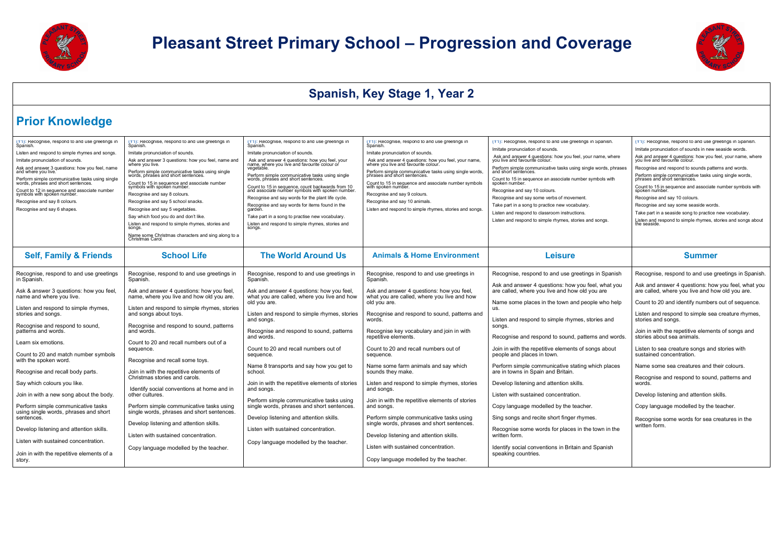



## **Spanish, Key Stage 1, Year 2**

| (Y1): Recognise, respond to and use greetings in<br>Spanish.<br>Listen and respond to simple rhymes and songs<br>Imitate pronunciation of sounds.<br>Ask and answer 3 questions: how you feel, name<br>and where you live.<br>Perform simple communicative tasks using single<br>words, phrases and short sentences.<br>Count to 12 in sequence and associate number<br>symbols with spoken number.<br>Recognise and say 8 colours.<br>Recognise and say 6 shapes.<br><b>Self, Family &amp; Friends</b>                                                 | (Y1): Recognise, respond to and use greetings in<br>Spanish<br>Imitate pronunciation of sounds.<br>Ask and answer 3 questions: how you feel, name and<br>where you live.<br>Perform simple communicative tasks using single<br>words, phrases and short sentences.<br>Count to 15 in sequence and associate number<br>symbols with spoken number<br>Recognise and say 8 colours.<br>Recognise and say 5 school snacks.<br>Recognise and say 5 vegetables.<br>Say which food you do and don't like.<br>Listen and respond to simple rhymes, stories and<br>songs.<br>Name some Christmas characters and sing along to a<br>Christmas Carol.<br><b>School Life</b> | (Y1): Recognise, respond to and use greetings in<br>Spanish.<br>Imitate pronunciation of sounds.<br>Ask and answer 4 questions: how you feel, your<br>name, where you live and favourite colour or<br>vegetable.<br>Perform simple communicative tasks using single<br>words, phrases and short sentences.<br>Count to 15 in sequence, count backwards from 10<br>and associate number symbols with spoken number.<br>Recognise and say words for the plant life cycle.<br>Recognise and say words for items found in the<br>garden.<br>Take part in a song to practise new vocabulary.<br>Listen and respond to simple rhymes, stories and<br>songs.<br><b>The World Around Us</b> | (Y1): Recognise, respond to and use greetings in<br>Spanish.<br>Imitate pronunciation of sounds.<br>Ask and answer 4 questions: how you feel, your name,<br>where you live and favourite colour.<br>Perform simple communicative tasks using single words<br>phrases and short sentences.<br>Count to 15 in seguence and associate number symbol:<br>with spoken number.<br>Recognise and say 9 colours.<br>Recognise and say 10 animals<br>Listen and respond to simple rhymes, stories and songs<br><b>Animals &amp; Home Environment</b>                                                     | (Y1): Recognise, respond to and use greetings in Spanish<br>Imitate pronunciation of sounds.<br>Ask and answer 4 questions: how you feel, your name, where<br>you live and favourite colour.<br>Perform simple communicative tasks using single words, phrases<br>and short sentences.<br>Count to 15 in sequence an associate number symbols with<br>spoken number.<br>Recognise and say 10 colours.<br>Recognise and say some verbs of movement.<br>Take part in a song to practice new vocabulary<br>Listen and respond to classroom instructions<br>Listen and respond to simple rhymes, stories and songs.<br>Leisure                                                                          | (Y1): Recognise, respond to and use greetings in Spanish.<br>Imitate pronunciation of sounds in new seaside words.<br>Ask and answer 4 questions: how you feel, your name, where<br>you live and favourite colour.<br>Recognise and respond to sounds patterns and words.<br>Perform simple communicative tasks using single words,<br>phrases and short sentences.<br>Count to 15 in sequence and associate number symbols with<br>spoken number.<br>Recognise and say 10 colours.<br>Recognise and say some seaside words.<br>Take part in a seaside song to practice new vocabulary.<br>Listen and respond to simple rhymes, stories and songs about<br>the seaside.<br><b>Summer</b>                   |
|---------------------------------------------------------------------------------------------------------------------------------------------------------------------------------------------------------------------------------------------------------------------------------------------------------------------------------------------------------------------------------------------------------------------------------------------------------------------------------------------------------------------------------------------------------|------------------------------------------------------------------------------------------------------------------------------------------------------------------------------------------------------------------------------------------------------------------------------------------------------------------------------------------------------------------------------------------------------------------------------------------------------------------------------------------------------------------------------------------------------------------------------------------------------------------------------------------------------------------|-------------------------------------------------------------------------------------------------------------------------------------------------------------------------------------------------------------------------------------------------------------------------------------------------------------------------------------------------------------------------------------------------------------------------------------------------------------------------------------------------------------------------------------------------------------------------------------------------------------------------------------------------------------------------------------|-------------------------------------------------------------------------------------------------------------------------------------------------------------------------------------------------------------------------------------------------------------------------------------------------------------------------------------------------------------------------------------------------------------------------------------------------------------------------------------------------------------------------------------------------------------------------------------------------|-----------------------------------------------------------------------------------------------------------------------------------------------------------------------------------------------------------------------------------------------------------------------------------------------------------------------------------------------------------------------------------------------------------------------------------------------------------------------------------------------------------------------------------------------------------------------------------------------------------------------------------------------------------------------------------------------------|------------------------------------------------------------------------------------------------------------------------------------------------------------------------------------------------------------------------------------------------------------------------------------------------------------------------------------------------------------------------------------------------------------------------------------------------------------------------------------------------------------------------------------------------------------------------------------------------------------------------------------------------------------------------------------------------------------|
|                                                                                                                                                                                                                                                                                                                                                                                                                                                                                                                                                         |                                                                                                                                                                                                                                                                                                                                                                                                                                                                                                                                                                                                                                                                  |                                                                                                                                                                                                                                                                                                                                                                                                                                                                                                                                                                                                                                                                                     |                                                                                                                                                                                                                                                                                                                                                                                                                                                                                                                                                                                                 |                                                                                                                                                                                                                                                                                                                                                                                                                                                                                                                                                                                                                                                                                                     |                                                                                                                                                                                                                                                                                                                                                                                                                                                                                                                                                                                                                                                                                                            |
| Recognise, respond to and use greetings<br>in Spanish.<br>Ask & answer 3 questions: how you feel<br>name and where you live.<br>Listen and respond to simple rhymes.<br>stories and songs.<br>Recognise and respond to sound,<br>patterns and words.<br>Learn six emotions.<br>Count to 20 and match number symbols<br>with the spoken word.<br>Recognise and recall body parts.<br>Say which colours you like.<br>Join in with a new song about the body.<br>Perform simple communicative tasks<br>using single words, phrases and short<br>sentences. | Recognise, respond to and use greetings in<br>Spanish.<br>Ask and answer 4 questions: how you feel,<br>name, where you live and how old you are.<br>Listen and respond to simple rhymes, stories<br>and songs about toys.<br>Recognise and respond to sound, patterns<br>and words.<br>Count to 20 and recall numbers out of a<br>sequence.<br>Recognise and recall some toys.<br>Join in with the repetitive elements of<br>Christmas stories and carols.<br>Identify social conventions at home and in<br>other cultures.<br>Perform simple communicative tasks using<br>single words, phrases and short sentences.                                            | Recognise, respond to and use greetings in<br>Spanish.<br>Ask and answer 4 questions: how you feel,<br>what you are called, where you live and how<br>old vou are.<br>Listen and respond to simple rhymes, stories<br>and songs.<br>Recognise and respond to sound, patterns<br>and words.<br>Count to 20 and recall numbers out of<br>sequence.<br>Name 8 transports and say how you get to<br>school.<br>Join in with the repetitive elements of stories<br>and songs.<br>Perform simple communicative tasks using<br>single words, phrases and short sentences.<br>Develop listening and attention skills.                                                                       | Recognise, respond to and use greetings in<br>Spanish.<br>Ask and answer 4 questions: how you feel,<br>what you are called, where you live and how<br>old you are.<br>Recognise and respond to sound, patterns and<br>words.<br>Recognise key vocabulary and join in with<br>repetitive elements.<br>Count to 20 and recall numbers out of<br>sequence.<br>Name some farm animals and say which<br>sounds they make.<br>Listen and respond to simple rhymes, stories<br>and songs.<br>Join in with the repetitive elements of stories<br>and songs.<br>Perform simple communicative tasks using | Recognise, respond to and use greetings in Spanish<br>Ask and answer 4 questions: how you feel, what you<br>are called, where you live and how old you are<br>Name some places in the town and people who help<br>US.<br>Listen and respond to simple rhymes, stories and<br>sonas.<br>Recognise and respond to sound, patterns and words<br>Join in with the repetitive elements of songs about<br>people and places in town.<br>Perform simple communicative stating which places<br>are in towns in Spain and Britain.<br>Develop listening and attention skills.<br>Listen with sustained concentration<br>Copy language modelled by the teacher.<br>Sing songs and recite short finger rhymes. | Recognise, respond to and use greetings in Spanish.<br>Ask and answer 4 questions: how you feel, what you<br>are called, where you live and how old you are.<br>Count to 20 and identify numbers out of sequence.<br>Listen and respond to simple sea creature rhymes,<br>stories and songs.<br>Join in with the repetitive elements of songs and<br>stories about sea animals.<br>Listen to sea creature songs and stories with<br>sustained concentration.<br>Name some sea creatures and their colours.<br>Recognise and respond to sound, patterns and<br>words.<br>Develop listening and attention skills.<br>Copy language modelled by the teacher.<br>Recognise some words for sea creatures in the |
| Develop listening and attention skills.<br>Listen with sustained concentration.<br>Join in with the repetitive elements of a<br>story.                                                                                                                                                                                                                                                                                                                                                                                                                  | Develop listening and attention skills.<br>Listen with sustained concentration.<br>Copy language modelled by the teacher.                                                                                                                                                                                                                                                                                                                                                                                                                                                                                                                                        | Listen with sustained concentration.<br>Copy language modelled by the teacher.                                                                                                                                                                                                                                                                                                                                                                                                                                                                                                                                                                                                      | single words, phrases and short sentences.<br>Develop listening and attention skills.<br>Listen with sustained concentration.<br>Copy language modelled by the teacher.                                                                                                                                                                                                                                                                                                                                                                                                                         | Recognise some words for places in the town in the<br>written form.<br>Identify social conventions in Britain and Spanish<br>speaking countries.                                                                                                                                                                                                                                                                                                                                                                                                                                                                                                                                                    | written form.                                                                                                                                                                                                                                                                                                                                                                                                                                                                                                                                                                                                                                                                                              |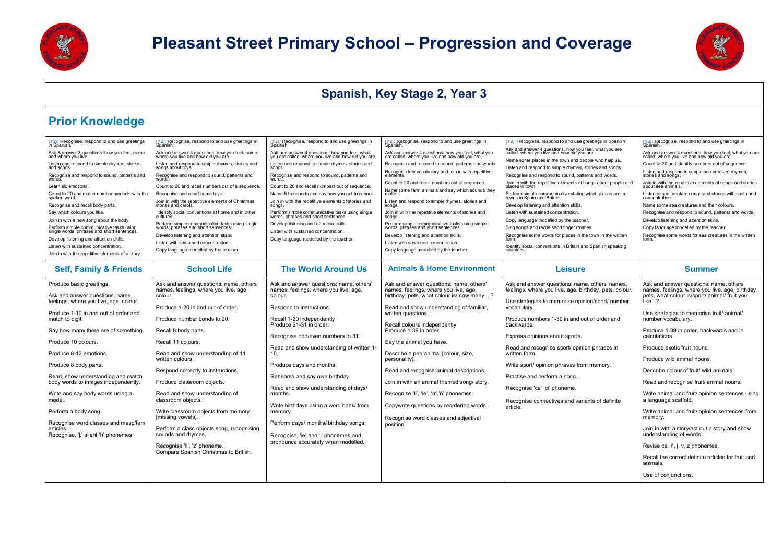



## **Spanish, Key Stage 2, Year 3**

| (Y2): Recognise, respond to and use greetings<br>Ask & answer 3 questions: how you feel, name<br>and where you live.<br>Listen and respond to simple rhymes, stories<br>and songs.<br>Recognise and respond to sound, patterns and<br>words<br>Learn six emotions.<br>Count to 20 and match number symbols with the<br>spoken word.<br>Recognise and recall body parts.<br>Say which colours you like.<br>Join in with a new song about the body.<br>Perform simple communicative tasks using<br>single words, phrases and short sentences.<br>Develop listening and attention skills.<br>Listen with sustained concentration.<br>Join in with the repetitive elements of a story. | (Y2): Recognise, respond to and use greetings in<br>Ask and answer 4 questions: how you feel, name,<br>where you live and how old you are.<br>Listen and respond to simple rhymes, stories and<br>songs about toys.<br>Recognise and respond to sound, patterns and<br>w∩rds̃<br>Count to 20 and recall numbers out of a sequence.<br>Recognise and recall some toys.<br>Join in with the repetitive elements of Christmas<br>stories and carols<br>Identify social conventions at home and in other<br>cultures.<br>Perform simple communicative tasks using single<br>words, phrases and short sentences.<br>Develop listening and attention skills.<br>Listen with sustained concentration.<br>Copy language modelled by the teacher. | (Y2): Recognise, respond to and use greetings in<br>Ask and answer 4 questions: how you feel, what<br>you are called, where you live and how old you are.<br>Listen and respond to simple rhymes, stories and<br>songs.<br>Recognise and respond to sound, patterns and<br>words<br>Count to 20 and recall numbers out of sequence.<br>Name 8 transports and say how you get to school.<br>Join in with the repetitive elements of stories and<br>songs.<br>Perform simple communicative tasks using single<br>words, phrases and short sentences.<br>Develop listening and attention skills.<br>Listen with sustained concentration.<br>Copy language modelled by the teacher. | (Y2): Recognise, respond to and use greetings in<br>Ask and answer 4 questions: how you feel, what you<br>are called, where you live and how old you are.<br>Recognise and respond to sound, patterns and words.<br>Recognise key vocabulary and join in with repetitive<br>elements<br>Count to 20 and recall numbers out of sequence.<br>Name some farm animals and say which sounds they<br>Listen and respond to simple rhymes, stories and<br>songs.<br>Join in with the repetitive elements of stories and<br>songs.<br>Perform simple communicative tasks using single<br>words, phrases and short sentences.<br>Develop listening and attention skills.<br>Listen with sustained concentration.<br>Copy language modelled by the teacher. | (Y2): Recognise, respond to and use greetings in Spanish<br>Ask and answer 4 questions: how you feel, what you are called, where you live and how old you are<br>Name some places in the town and people who help us.<br>Listen and respond to simple rhymes, stories and songs.<br>Recognise and respond to sound, patterns and words.<br>Join in with the repetitive elements of songs about people and<br>places in town.<br>Perform simple communicative stating which places are in<br>towns in Spain and Britain.<br>Develop listening and attention skills.<br>Listen with sustained concentration.<br>Copy language modelled by the teacher.<br>Sing songs and recite short finger rhymes.<br>Recognise some words for places in the town in the written<br>Identify social conventions in Britain and Spanish speaking<br>countries. | (Y2): Recognise, respond to and use greetings in<br>Spanish.<br>Ask and answer 4 questions: how you feel, what you are<br>called, where you live and how old you are.<br>Count to 20 and identify numbers out of sequence.<br>Listen and respond to simple sea creature rhymes,<br>stories and songs.<br>Join in with the repetitive elements of songs and stories<br>about sea animals<br>Listen to sea creature songs and stories with sustained<br>concentration.<br>Name some sea creatures and their colours.<br>Recognise and respond to sound, patterns and words.<br>Develop listening and attention skills.<br>Copy language modelled by the teacher.<br>Recognise some words for sea creatures in the written                                                                 |
|------------------------------------------------------------------------------------------------------------------------------------------------------------------------------------------------------------------------------------------------------------------------------------------------------------------------------------------------------------------------------------------------------------------------------------------------------------------------------------------------------------------------------------------------------------------------------------------------------------------------------------------------------------------------------------|------------------------------------------------------------------------------------------------------------------------------------------------------------------------------------------------------------------------------------------------------------------------------------------------------------------------------------------------------------------------------------------------------------------------------------------------------------------------------------------------------------------------------------------------------------------------------------------------------------------------------------------------------------------------------------------------------------------------------------------|---------------------------------------------------------------------------------------------------------------------------------------------------------------------------------------------------------------------------------------------------------------------------------------------------------------------------------------------------------------------------------------------------------------------------------------------------------------------------------------------------------------------------------------------------------------------------------------------------------------------------------------------------------------------------------|---------------------------------------------------------------------------------------------------------------------------------------------------------------------------------------------------------------------------------------------------------------------------------------------------------------------------------------------------------------------------------------------------------------------------------------------------------------------------------------------------------------------------------------------------------------------------------------------------------------------------------------------------------------------------------------------------------------------------------------------------|-----------------------------------------------------------------------------------------------------------------------------------------------------------------------------------------------------------------------------------------------------------------------------------------------------------------------------------------------------------------------------------------------------------------------------------------------------------------------------------------------------------------------------------------------------------------------------------------------------------------------------------------------------------------------------------------------------------------------------------------------------------------------------------------------------------------------------------------------|-----------------------------------------------------------------------------------------------------------------------------------------------------------------------------------------------------------------------------------------------------------------------------------------------------------------------------------------------------------------------------------------------------------------------------------------------------------------------------------------------------------------------------------------------------------------------------------------------------------------------------------------------------------------------------------------------------------------------------------------------------------------------------------------|
| <b>Self, Family &amp; Friends</b>                                                                                                                                                                                                                                                                                                                                                                                                                                                                                                                                                                                                                                                  | <b>School Life</b>                                                                                                                                                                                                                                                                                                                                                                                                                                                                                                                                                                                                                                                                                                                       | <b>The World Around Us</b>                                                                                                                                                                                                                                                                                                                                                                                                                                                                                                                                                                                                                                                      | <b>Animals &amp; Home Environment</b>                                                                                                                                                                                                                                                                                                                                                                                                                                                                                                                                                                                                                                                                                                             | Leisure                                                                                                                                                                                                                                                                                                                                                                                                                                                                                                                                                                                                                                                                                                                                                                                                                                       | <b>Summer</b>                                                                                                                                                                                                                                                                                                                                                                                                                                                                                                                                                                                                                                                                                                                                                                           |
| Produce basic greetings.<br>Ask and answer questions: name,<br>feelings, where you live, age, colour.<br>Produce 1-10 in and out of order and<br>match to digit.<br>Say how many there are of something.<br>Produce 10 colours.<br>Produce 8-12 emotions.<br>Produce 8 body parts.<br>Read, show understanding and match<br>body words to images independently.<br>Write and say body words using a<br>model.<br>Perform a body song.<br>Recognise word classes and masc/fem<br>articles.<br>Recognise, 'i,' silent 'h' phonemes                                                                                                                                                   | Ask and answer questions: name, others'<br>names, feelings, where you live, age,<br>colour.<br>Produce 1-20 in and out of order.<br>Produce number bonds to 20.<br>Recall 8 body parts.<br>Recall 11 colours.<br>Read and show understanding of 11<br>written colours.<br>Respond correctly to instructions.<br>Produce classroom objects.<br>Read and show understanding of<br>classroom objects.<br>Write classroom objects from memory<br>[missing vowels].<br>Perform a class objects song, recognising<br>sounds and rhymes.<br>Recognise 'II'. 'z' phoneme.<br>Compare Spanish Christmas to British.                                                                                                                               | Ask and answer questions: name, others'<br>names, feelings, where you live, age,<br>colour.<br>Respond to instructions.<br>Recall 1-20 independently<br>Produce 21-31 in order.<br>Recognise odd/even numbers to 31.<br>Read and show understanding of written 1-<br>10.<br>Produce days and months.<br>Rehearse and say own birthday.<br>Read and show understanding of days/<br>months.<br>Write birthdays using a word bank/from<br>memory.<br>Perform days/ months/ birthday songs.<br>Recognise, 'ie' and 'j' phonemes and<br>pronounce accurately when modelled.                                                                                                          | Ask and answer questions: name, others'<br>names, feelings, where you live, age,<br>birthday, pets, what colour is/ now many ?<br>Read and show understanding of familiar,<br>written questions.<br>Recall colours independently<br>Produce 1-39 in order.<br>Say the animal you have.<br>Describe a pet/ animal [colour, size,<br>personality].<br>Read and recognise animal descriptions.<br>Join in with an animal themed song/ story.<br>Recognise 'II', 'ie', 'rr','ñ' phonemes.<br>Copywrite questions by reordering words.<br>Recognise word classes and adjectival<br>position.                                                                                                                                                           | Ask and answer questions: name, others' names,<br>feelings, where you live, age, birthday, pets, colour.<br>Use strategies to memorise opinion/sport/ number<br>vocabulary.<br>Produce numbers 1-39 in and out of order and<br>backwards.<br>Express opinions about sports.<br>Read and recognise sport/ opinion phrases in<br>written form.<br>Write sport/ opinion phrases from memory.<br>Practise and perform a song.<br>Recognise 'ce' 'ci' phoneme.<br>Recognise connectives and variants of definite<br>article.                                                                                                                                                                                                                                                                                                                       | Ask and answer questions: name, others'<br>names, feelings, where you live, age, birthday,<br>pets, what colour is/sport/ animal/ fruit you<br>like?<br>Use strategies to memorise fruit/ animal/<br>number vocabulary.<br>Produce 1-39 in order, backwards and in<br>calculations.<br>Produce exotic fruit nouns.<br>Produce wild animal nouns.<br>Describe colour of fruit/ wild animals.<br>Read and recognise fruit/ animal nouns.<br>Write animal and fruit/ opinion sentences using<br>a language scaffold.<br>Write animal and fruit/ opinion sentences from<br>memory.<br>Join in with a story/act out a story and show<br>understanding of words.<br>Revise ce, ñ, j, v, z phonemes.<br>Recall the correct definite articles for fruit and<br>animals.<br>Use of conjunctions. |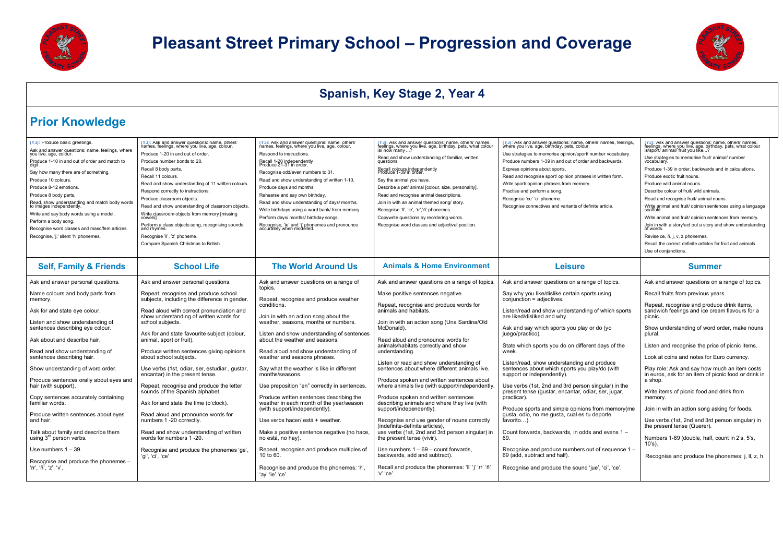



## **Spanish, Key Stage 2, Year 4**

| (Y3): Produce basic greetings.<br>Ask and answer questions: name, feelings, where<br>you live, age, colour.<br>Produce 1-10 in and out of order and match to<br>Say how many there are of something.<br>Produce 10 colours.<br>Produce 8-12 emotions.<br>Produce 8 body parts.<br>Read, show understanding and match body words<br>to images independently.<br>Write and say body words using a model.<br>Perform a body song.<br>Recognise word classes and masc/fem articles<br>Recognise, 'j,' silent 'h' phonemes.                                                                                                                                             | (Y3): Ask and answer questions: name, others'<br>names, feelings, where you live, age, colour.<br>Produce 1-20 in and out of order.<br>Produce number bonds to 20.<br>Recall 8 body parts.<br>Recall 11 colours.<br>Read and show understanding of 11 written colours.<br>Respond correctly to instructions.<br>Produce classroom objects.<br>Read and show understanding of classroom objects.<br>Write classroom objects from memory [missing<br>vowelsl<br>Perform a class objects song, recognising sounds<br>and rhymes.<br>Recognise 'II', 'z' phoneme.<br>Compare Spanish Christmas to British.                                                                                                                                                                                                       | (Y3): Ask and answer questions: name, others'<br>names, feelings, where you live, age, colour.<br>Respond to instructions.<br>Recall 1-20 independently<br>Produce 21-31 in order.<br>Recognise odd/even numbers to 31.<br>Read and show understanding of written 1-10.<br>Produce days and months.<br>Rehearse and say own birthday.<br>Read and show understanding of days/ months.<br>Write birthdays using a word bank/ from memory.<br>Perform days/ months/ birthday songs.<br>Recognise, 'ie' and 'j' phonemes and pronounce<br>accurately when modelled.                                                                                                                                                                                             | (Y3): Ask and answer questions: name, others' names,<br>feelings, where you live, age, birthday, pets, what colour<br>is/ now many ?<br>Read and show understanding of familiar, written<br>questions.<br>Recall colours independently<br>Produce 1-39 in order.<br>Say the animal you have.<br>Describe a pet/ animal fcolour, size, personality].<br>Read and recognise animal descriptions.<br>Join in with an animal themed song/ story<br>Recognise 'll', 'ie', 'rr','ñ' phonemes.<br>Copywrite questions by reordering words.<br>Recognise word classes and adjectival position.                                                                                                                                                                                                                                                                                           | (Y3): Ask and answer questions: name, others' names, feelings where you live, age, birthday, pets, colour.<br>Use strategies to memorise opinion/sport/ number vocabulary.<br>Produce numbers 1-39 in and out of order and backwards.<br>Express opinions about sports.<br>Read and recognise sport/ opinion phrases in written form.<br>Write sport/ opinion phrases from memory.<br>Practise and perform a song.<br>Recognise 'ce' 'ci' phoneme.<br>Recognise connectives and variants of definite article.                                                                                                                                                                                                                                                                                                                                                                      | Y3): Ask and answer questions: name, others' names,<br>feelings, where you live, age, birthday, pets, what colour<br>is/sport/ animal/ fruit you like?<br>Use strategies to memorise fruit/ animal/ number<br>vocabulary.<br>Produce 1-39 in order, backwards and in calculations.<br>Produce exotic fruit nouns.<br>Produce wild animal nouns.<br>Describe colour of fruit/ wild animals<br>Read and recognise fruit/ animal nouns.<br>Write animal and fruit/ opinion sentences using a language<br>scaffold.<br>Write animal and fruit/ opinion sentences from memory.<br>Join in with a story/act out a story and show understanding<br>of words.<br>Revise ce, ñ, j, v, z phonemes.<br>Recall the correct definite articles for fruit and animals.<br>Use of coniunctions                |
|--------------------------------------------------------------------------------------------------------------------------------------------------------------------------------------------------------------------------------------------------------------------------------------------------------------------------------------------------------------------------------------------------------------------------------------------------------------------------------------------------------------------------------------------------------------------------------------------------------------------------------------------------------------------|--------------------------------------------------------------------------------------------------------------------------------------------------------------------------------------------------------------------------------------------------------------------------------------------------------------------------------------------------------------------------------------------------------------------------------------------------------------------------------------------------------------------------------------------------------------------------------------------------------------------------------------------------------------------------------------------------------------------------------------------------------------------------------------------------------------|--------------------------------------------------------------------------------------------------------------------------------------------------------------------------------------------------------------------------------------------------------------------------------------------------------------------------------------------------------------------------------------------------------------------------------------------------------------------------------------------------------------------------------------------------------------------------------------------------------------------------------------------------------------------------------------------------------------------------------------------------------------|----------------------------------------------------------------------------------------------------------------------------------------------------------------------------------------------------------------------------------------------------------------------------------------------------------------------------------------------------------------------------------------------------------------------------------------------------------------------------------------------------------------------------------------------------------------------------------------------------------------------------------------------------------------------------------------------------------------------------------------------------------------------------------------------------------------------------------------------------------------------------------|------------------------------------------------------------------------------------------------------------------------------------------------------------------------------------------------------------------------------------------------------------------------------------------------------------------------------------------------------------------------------------------------------------------------------------------------------------------------------------------------------------------------------------------------------------------------------------------------------------------------------------------------------------------------------------------------------------------------------------------------------------------------------------------------------------------------------------------------------------------------------------|-----------------------------------------------------------------------------------------------------------------------------------------------------------------------------------------------------------------------------------------------------------------------------------------------------------------------------------------------------------------------------------------------------------------------------------------------------------------------------------------------------------------------------------------------------------------------------------------------------------------------------------------------------------------------------------------------------------------------------------------------------------------------------------------------|
| <b>Self, Family &amp; Friends</b>                                                                                                                                                                                                                                                                                                                                                                                                                                                                                                                                                                                                                                  | <b>School Life</b>                                                                                                                                                                                                                                                                                                                                                                                                                                                                                                                                                                                                                                                                                                                                                                                           | <b>The World Around Us</b>                                                                                                                                                                                                                                                                                                                                                                                                                                                                                                                                                                                                                                                                                                                                   | <b>Animals &amp; Home Environment</b>                                                                                                                                                                                                                                                                                                                                                                                                                                                                                                                                                                                                                                                                                                                                                                                                                                            | Leisure                                                                                                                                                                                                                                                                                                                                                                                                                                                                                                                                                                                                                                                                                                                                                                                                                                                                            | <b>Summer</b>                                                                                                                                                                                                                                                                                                                                                                                                                                                                                                                                                                                                                                                                                                                                                                                 |
| Ask and answer personal questions.<br>Name colours and body parts from<br>memory.<br>Ask for and state eye colour.<br>Listen and show understanding of<br>sentences describing eye colour.<br>Ask about and describe hair.<br>Read and show understanding of<br>sentences describing hair.<br>Show understanding of word order.<br>Produce sentences orally about eyes and<br>hair (with support).<br>Copy sentences accurately containing<br>familiar words.<br>Produce written sentences about eyes<br>and hair.<br>Talk about family and describe them<br>using 3 <sup>rd</sup> person verbs.<br>Use numbers $1 - 39$ .<br>Recognise and produce the phonemes - | Ask and answer personal questions.<br>Repeat, recognise and produce school<br>subjects, including the difference in gender.<br>Read aloud with correct pronunciation and<br>show understanding of written words for<br>school subjects.<br>Ask for and state favourite subject (colour.<br>animal, sport or fruit).<br>Produce written sentences giving opinions<br>about school subjects.<br>Use verbs (1st, odiar, ser, estudiar, gustar,<br>encantar) in the present tense.<br>Repeat, recognise and produce the letter<br>sounds of the Spanish alphabet.<br>Ask for and state the time (o'clock).<br>Read aloud and pronounce words for<br>numbers 1-20 correctly.<br>Read and show understanding of written<br>words for numbers 1-20.<br>Recognise and produce the phonemes 'ge'<br>'gi', 'ci', 'ce'. | Ask and answer questions on a range of<br>topics.<br>Repeat, recognise and produce weather<br>conditions.<br>Join in with an action song about the<br>weather, seasons, months or numbers.<br>Listen and show understanding of sentences<br>about the weather and seasons.<br>Read aloud and show understanding of<br>weather and seasons phrases.<br>Say what the weather is like in different<br>months/seasons.<br>Use preposition "en" correctly in sentences<br>Produce written sentences describing the<br>weather in each month of the year/season<br>(with support/independently).<br>Use verbs hacer/ está + weather.<br>Make a positive sentence negative (no hace<br>no está, no hay).<br>Repeat, recognise and produce multiples of<br>10 to 60. | Ask and answer questions on a range of topics.<br>Make positive sentences negative.<br>Repeat, recognise and produce words for<br>animals and habitats.<br>Join in with an action song (Una Sardina/Old<br>McDonald).<br>Read aloud and pronounce words for<br>animals/habitats correctly and show<br>understanding.<br>Listen or read and show understanding of<br>sentences about where different animals live.<br>Produce spoken and written sentences about<br>where animals live (with support/independently<br>Produce spoken and written sentences<br>describing animals and where they live (with<br>support/independently).<br>Recognise and use gender of nouns correctly<br>(indefinite-definite articles).<br>use verbs (1st, 2nd and 3rd person singular) in<br>the present tense (vivir).<br>Use numbers 1 - 69 - count forwards.<br>backwards, add and subtract). | Ask and answer questions on a range of topics.<br>Say why you like/dislike certain sports using<br>conjunction = adjectives.<br>Listen/read and show understanding of which sports<br>are liked/disliked and why.<br>Ask and say which sports you play or do (yo<br>juego/practico).<br>State which sports you do on different days of the<br>week.<br>Listen/read, show understanding and produce<br>sentences about which sports you play/do (with<br>support or independently).<br>Use verbs (1st, 2nd and 3rd person singular) in the<br>present tense (qustar, encantar, odiar, ser, jugar,<br>practicar).<br>Produce sports and simple opinions from memory(me<br>gusta, odio, no me gusta, cual es tu deporte<br>favorito).<br>Count forwards, backwards, in odds and evens 1 -<br>69.<br>Recognise and produce numbers out of sequence 1 -<br>69 (add, subtract and half). | Ask and answer questions on a range of topics.<br>Recall fruits from previous years.<br>Repeat, recognise and produce drink items,<br>sandwich feelings and ice cream flavours for a<br>picnic.<br>Show understanding of word order, make nouns<br>plural.<br>Listen and recognise the price of picnic items.<br>Look at coins and notes for Euro currency.<br>Play role: Ask and say how much an item costs<br>in euros, ask for an item of picnic food or drink in<br>a shop.<br>Write items of picnic food and drink from<br>memory.<br>Join in with an action song asking for foods.<br>Use verbs (1st, 2nd and 3rd person singular) in<br>the present tense (Querer).<br>Numbers 1-69 (double, half, count in 2's, 5's,<br>$10's$ ).<br>Recognise and produce the phonemes: j, ll, z, h. |
| ʻrr', 'ñ', 'z', 'v'.                                                                                                                                                                                                                                                                                                                                                                                                                                                                                                                                                                                                                                               |                                                                                                                                                                                                                                                                                                                                                                                                                                                                                                                                                                                                                                                                                                                                                                                                              | Recognise and produce the phonemes: 'h'<br>'ay' 'ie' 'ce'.                                                                                                                                                                                                                                                                                                                                                                                                                                                                                                                                                                                                                                                                                                   | Recall and produce the phonemes: 'II' 'i' 'rr' 'ñ'<br>'v' 'ce'.                                                                                                                                                                                                                                                                                                                                                                                                                                                                                                                                                                                                                                                                                                                                                                                                                  | Recognise and produce the sound 'jue', 'ci', 'ce'.                                                                                                                                                                                                                                                                                                                                                                                                                                                                                                                                                                                                                                                                                                                                                                                                                                 |                                                                                                                                                                                                                                                                                                                                                                                                                                                                                                                                                                                                                                                                                                                                                                                               |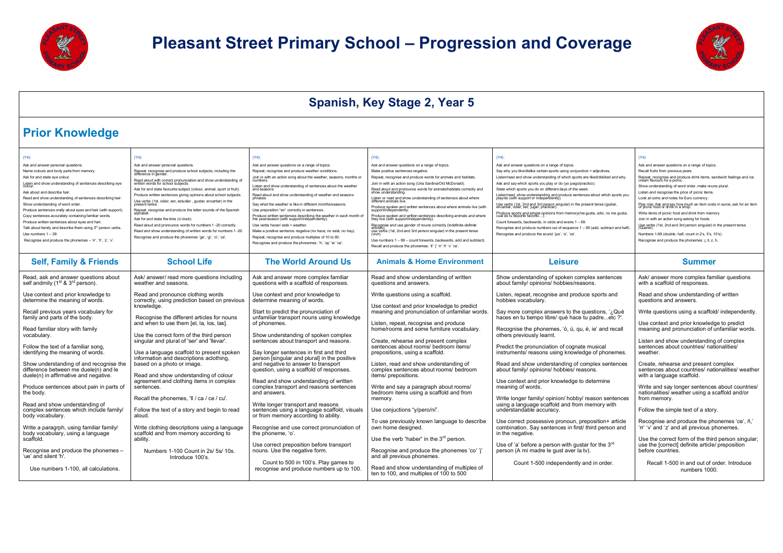



#### **Spanish, Key Stage 2, Year 5 Prior Knowledge (Y4):** Ask and answer personal questions. Name colours and body parts from memory. Ask for and state eye colour. Listen and show understanding of sentences describing eye Ask about and describe hair. Read and show understanding of sentences describing hair. Show understanding of word order. Produce sentences orally about eyes and hair (with support). Copy sentences accurately containing familiar words. Produce written sentences about eyes and hair. Talk about family and describe them using  $3<sup>rd</sup>$  person verbs. Use numbers 1 – 39. Recognise and produce the phonemes – 'n', 'ñ', 'z', 'v'. **(Y4):** Ask and answer personal questions. Repeat, recognise and produce school subjects, including the difference in gender. Read aloud with correct pronunciation and show understanding of written words for school subjects. Ask for and state favourite subject (colour, animal, sport or fruit). Produce written sentences giving opinions about school subjects. Use verbs (1st, odiar, ser, estudiar, gustar, encantar) in the Repeat, recognise and produce the letter sounds of the Spanish Ask for and state the time (o'clock). Read aloud and pronounce words for numbers 1 -20 correctly. Read and show understanding of written words for numbers 1 -20. Recognise and produce the phonemes 'ge', 'gi', 'ci', 'ce'. **(Y4):** Ask and answer questions on a range of topics. Repeat, recognise and produce weather conditions. Join in with an action song about the weather, seasons, months or numbers. Listen and show understanding of sentences about the weather<br>and seasons. Read aloud and show understanding of weather and seasons .<br>Say what the weather is like in different months/seasons Use preposition "en" correctly in sentences. Produce written sentences describing the weather in each month of the year/season (with support/independently). Use verbs hacer/ está + weather. Make a positive sentence negative (no hace, no está, no hay). Repeat, recognise and produce multiples of 10 to 60. Recognise and produce the phonemes: 'h', 'ay' 'ie' 'ce'. **(Y4):** Ask and answer questions on a range of topics. Make positive sentences negative. Repeat, recognise and produce words for animals and habitats. Join in with an action song (Una Sardina/Old McDonald). Read aloud and pronounce words for animals/habitats correctly and show understanding. Listen or read and show understanding of sentences about where different animals live. Produce spoken and written sentences about where animals live (with support/independently. Produce spoken and written sentences describing animals and where they live (with support/independently). Recognise and use gender of nouns correctly (indefinite-definite<br>articles),<br>use verbs (1st, 2nd and 3rd person singular) in the present tense<br>(vivir). Use numbers 1 – 69 – count forwards, backwards, add and subtract). Recall and produce the phonemes: 'll' 'j' 'rr' 'ñ' 'v' 'ce'. **(Y4):** Ask and answer questions on a range of topics. Say why you like/dislike certain sports using conjunction = adjectives. Listen/read and show understanding of which sports are liked/disliked and why. Ask and say which sports you play or do (yo juego/practico). State which sports you do on different days of the week Listen/read, show understanding and produce sentences about which sports you play/do (with support or independently). Use verbs (1st, 2nd and 3rd person singular) in the present tense (gustar, encantar, odiar, ser, jugar, practicar). Produce sports and simple opinions from memory(me gusta, odio, no me gusta,<br>cual es tu deporte favorito…). Count forwards, backwards, in odds and evens 1 – 69. Recognise and produce numbers out of sequence 1 – 69 (add, subtract and half). Recognise and produce the sound 'jue', 'ci', 'ce'. **(Y4):** Ask and answer questions on a range of topics. Recall fruits from previous years. Repeat, recognise and produce drink items, sandwich feelings and ice<br>cream flavours for a picnic. Show understanding of word order, make nouns plural. Listen and recognise the price of picnic items. Look at coins and notes for Euro currency. Play role: Ask and say how much an item costs in euros, ask for an item<br>of picnic food or drink in a shop. Write items of picnic food and drink from memory. Join in with an action song asking for foods. Use verbs (1st, 2nd and 3rd person singular) in the present tense (Querer). Numbers 1-69 (double, half, count in 2's, 5's, 10's). Recognise and produce the phonemes: j, ll, z, h. **Self, Family & Friends School Life The World Around Us Animals & Home Environment Leisure Summer** Read, ask and answer questions about self andmily (1<sup>st</sup> & 3<sup>rd</sup> person). Use context and prior knowledge to determine the meaning of words. Recall previous years vocabulary for family and parts of the body. Read familiar story with family vocabulary. Follow the text of a familiar song, identifying the meaning of words. Show understanding of and recognise the difference between me duele(n) and le duele(n) in affirmative and negative. Produce sentences about pain in parts of the body. Read and show understanding of complex sentences which include family/ body vocabulary. Write a paragrph, using familiar family/ body vocabulary, using a language scaffold. Recognise and produce the phonemes – 'ue' and silent 'h'. Use numbers 1-100, all calculations. Ask/ answer/ read more questions including weather and seasons. Read and pronounce clothing words correctly, using prediction based on previous knowledge. Recognise the different articles for nouns and when to use them [el, la, los, las]. Use the correct form of the third person singular and plural of 'ser' and 'llevar'. Use a language scaffold to present spoken information and descriptions aclothing, based on <sup>a</sup> photo or image. Read and show understanding of colour agreement and clothing items in complex sentences. Recall the phonemes, 'll / ca / ce / cu'. Follow the text of a story and begin to read aloud. Write clothing descriptions using a language scaffold and from memory according to ability. Numbers 1-100 Count in 2s/ 5s/ 10s. Introduce 100's. Ask and answer more complex familiar questions with a scaffold of responses. Use context and prior knowledge to determine meaning of words. Start to predict the pronunciation of unfamiliar transport nouns using knowledge of phonemes. Show understanding of spoken complex sentences about transport and reasons. Say longer sentences in first and third person [singular and plural] in the positive and negative to answer to transport question, using a scaffold of responses. Read and show understanding of written complex transport and reasons sentences and answers. Write longer transport and reasons sentences using <sup>a</sup> language scaffold, visuals or from memory according to ability. Recognise and use correct pronunciation of the phoneme, 'o'. Use correct preposition before transport nouns. Use the negative form. Count to 500 in 100's. Play games to recognise and produce numbers up to 100. Read and show understanding of written questions and answers. Write questions using a scaffold. Use context and prior knowledge to predict meaning and pronunciation of unfamiliar words. Listen, repeat, recognise and produce home/rooms and some furniture vocabulary. Create, rehearse and present complex sentences about rooms/ bedroom items/ prepositions, using a scaffold. Listen, read and show understanding of complex sentences about rooms/ bedroom items/ prepositions. Write and say a paragraph about rooms/ bedroom items using a scaffold and from memory. Use conjuctions "y/pero/ni". To use previously known language to describe own home designed. Use the verb "haber" in the 3<sup>rd</sup> person. Recognise and produce the phonemes 'co' 'j' and all previous phonemes. Read and show understanding of multiples of ten to 100, and multiples of 100 to 500 Show understanding of spoken complex sentences about family/ opinions/ hobbies/reasons. Listen, repeat, recognise and produce sports and hobbies vocabulary. Say more complex answers to the questions, '¿Qué haces en tu tiempo libre/ qué hace tu padre...etc ?'. Recognise the phonemes, 'ó, ú, qu, é, ie' and recall others previously learnt. Predict the pronunciation of cognate musical instruments/ reasons using knowledge of phonemes. Read and show understanding of complex sentences about family/ opinions/ hobbies/ reasons. Use context and prior knowledge to determine meaning of words. Write longer family/ opinion/ hobby/ reason sentences using <sup>a</sup> language scaffold and from memory with understandable accuracy. Use correct possessive pronoun, preposition+ article combination. Say sentences in first/ third person and in the negative. Use of 'a' before a person with gustar for the 3rd person (A mi madre le gust aver la tv). Count 1-500 independently and in order. Ask/ answer more complex familiar questions with a scaffold of responses. Read and show understanding of written questions and answers. Write questions using a scaffold/ independently. Use context and prior knowledge to predict meaning and pronunciation of unfamiliar words. Listen and show understanding of complex sentences about countries/ nationalities/ weather Create, rehearse and present complex sentences about countries/ nationalities/ weather with a language scaffold. Write and say longer sentences about countries/ nationalities/ weather using a scaffold and/or from memory. Follow the simple text of a story. Recognise and produce the phonemes 'ce', ñ,' 'rr' 'v' and 'z' and all previous phonemes. Use the correct form of the third person singular; use the [correct] definite article/ preposition before countries. Recall 1-500 in and out of order. Introduce numbers 1000.